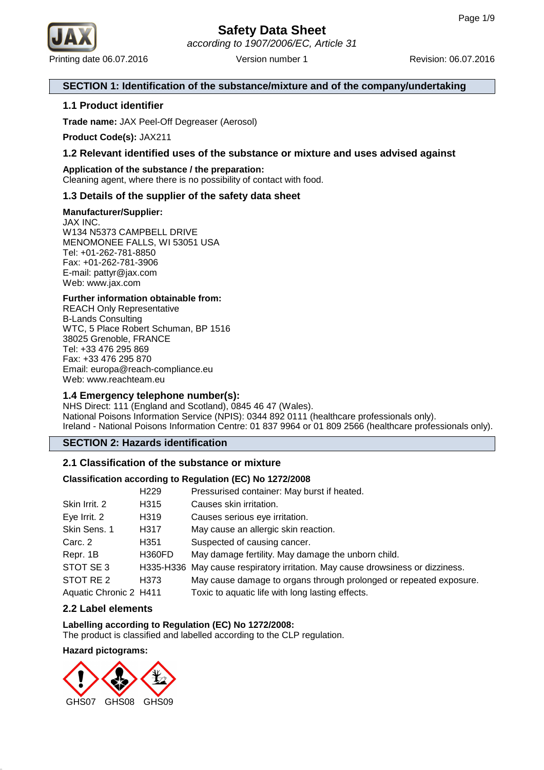

#### **SECTION 1: Identification of the substance/mixture and of the company/undertaking**

#### **1.1 Product identifier**

**Trade name:** JAX Peel-Off Degreaser (Aerosol)

**Product Code(s):** JAX211

#### **1.2 Relevant identified uses of the substance or mixture and uses advised against**

## **Application of the substance / the preparation:**

Cleaning agent, where there is no possibility of contact with food.

## **1.3 Details of the supplier of the safety data sheet**

#### **Manufacturer/Supplier:**

JAX INC. W134 N5373 CAMPBELL DRIVE MENOMONEE FALLS, WI 53051 USA Tel: +01-262-781-8850 Fax: +01-262-781-3906 E-mail: pattyr@jax.com Web: www.jax.com

#### **Further information obtainable from:**

REACH Only Representative B-Lands Consulting WTC, 5 Place Robert Schuman, BP 1516 38025 Grenoble, FRANCE Tel: +33 476 295 869 Fax: +33 476 295 870 Email: europa@reach-compliance.eu Web: www.reachteam.eu

#### **1.4 Emergency telephone number(s):**

NHS Direct: 111 (England and Scotland), 0845 46 47 (Wales). National Poisons Information Service (NPIS): 0344 892 0111 (healthcare professionals only). Ireland - National Poisons Information Centre: 01 837 9964 or 01 809 2566 (healthcare professionals only).

**SECTION 2: Hazards identification**

#### **2.1 Classification of the substance or mixture**

#### **Classification according to Regulation (EC) No 1272/2008**

|                        | H <sub>229</sub>  | Pressurised container: May burst if heated.                                    |
|------------------------|-------------------|--------------------------------------------------------------------------------|
| Skin Irrit. 2          | H <sub>3</sub> 15 | Causes skin irritation.                                                        |
| Eye Irrit. 2           | H319              | Causes serious eye irritation.                                                 |
| Skin Sens. 1           | H317              | May cause an allergic skin reaction.                                           |
| Carc. 2                | H351              | Suspected of causing cancer.                                                   |
| Repr. 1B               | <b>H360FD</b>     | May damage fertility. May damage the unborn child.                             |
| STOT SE 3              |                   | H335-H336 May cause respiratory irritation. May cause drowsiness or dizziness. |
| STOT RE 2              | H373              | May cause damage to organs through prolonged or repeated exposure.             |
| Aquatic Chronic 2 H411 |                   | Toxic to aquatic life with long lasting effects.                               |

#### **2.2 Label elements**

#### **Labelling according to Regulation (EC) No 1272/2008:**

The product is classified and labelled according to the CLP regulation.

#### **Hazard pictograms:**

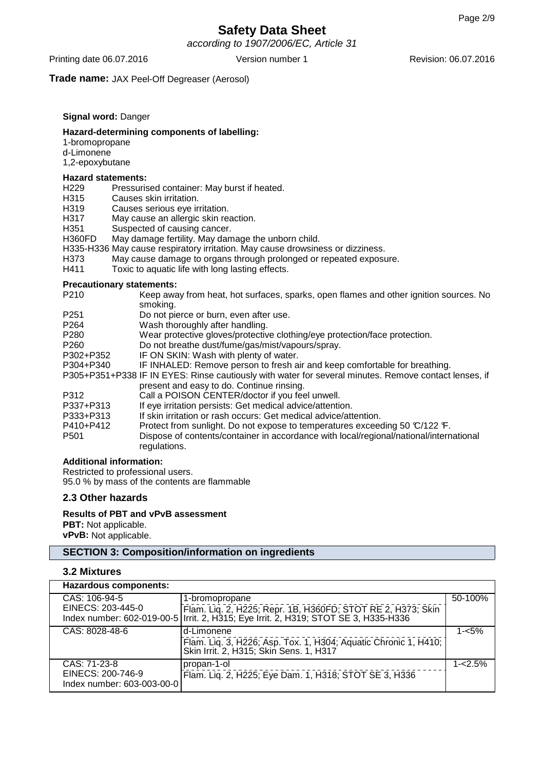according to 1907/2006/EC, Article 31

Printing date 06.07.2016 Version number 1 Revision: 06.07.2016 Version number 1

**Trade name:** JAX Peel-Off Degreaser (Aerosol)

#### **Signal word:** Danger

#### **Hazard-determining components of labelling:**

1-bromopropane d-Limonene

1,2-epoxybutane

#### **Hazard statements:**

- H229 Pressurised container: May burst if heated.
- H315 Causes skin irritation.
- H319 Causes serious eye irritation.<br>H317 May cause an allergic skin rea
- May cause an allergic skin reaction.
- H351 Suspected of causing cancer.
- H360FD May damage fertility. May damage the unborn child.
- H335-H336 May cause respiratory irritation. May cause drowsiness or dizziness.
- H373 May cause damage to organs through prolonged or repeated exposure.
- H411 Toxic to aquatic life with long lasting effects.

#### **Precautionary statements:**

| P <sub>210</sub> | Keep away from heat, hot surfaces, sparks, open flames and other ignition sources. No                  |
|------------------|--------------------------------------------------------------------------------------------------------|
|                  | smoking.                                                                                               |
| P <sub>251</sub> | Do not pierce or burn, even after use.                                                                 |
| P <sub>264</sub> | Wash thoroughly after handling.                                                                        |
| P <sub>280</sub> | Wear protective gloves/protective clothing/eye protection/face protection.                             |
| P <sub>260</sub> | Do not breathe dust/fume/gas/mist/vapours/spray.                                                       |
| P302+P352        | IF ON SKIN: Wash with plenty of water.                                                                 |
| P304+P340        | IF INHALED: Remove person to fresh air and keep comfortable for breathing.                             |
|                  | P305+P351+P338 IF IN EYES: Rinse cautiously with water for several minutes. Remove contact lenses, if  |
|                  | present and easy to do. Continue rinsing.                                                              |
| P312             | Call a POISON CENTER/doctor if you feel unwell.                                                        |
| P337+P313        | If eye irritation persists: Get medical advice/attention.                                              |
| P333+P313        | If skin irritation or rash occurs: Get medical advice/attention.                                       |
| P410+P412        | Protect from sunlight. Do not expose to temperatures exceeding 50 °C/122 °F.                           |
| P <sub>501</sub> | Dispose of contents/container in accordance with local/regional/national/international<br>regulations. |

#### **Additional information:**

Restricted to professional users. 95.0 % by mass of the contents are flammable

#### **2.3 Other hazards**

#### **Results of PBT and vPvB assessment**

**PBT:** Not applicable. **vPvB:** Not applicable.

#### **SECTION 3: Composition/information on ingredients**

#### **3.2 Mixtures**

| Hazardous components:                                           |                                                                                                                                                                        |            |
|-----------------------------------------------------------------|------------------------------------------------------------------------------------------------------------------------------------------------------------------------|------------|
| CAS: 106-94-5<br>EINECS: 203-445-0                              | 1-bromopropane<br>Flam. Lig. 2, H225; Repr. 1B, H360FD; STOT RE 2, H373; Skin<br>Index number: 602-019-00-5   Irrit. 2, H315; Eye Irrit. 2, H319; STOT SE 3, H335-H336 | 50-100%    |
| CAS: 8028-48-6                                                  | d-Limonene<br>Flam. Liq. 3, H226; Asp. Tox. 1, H304; Aquatic Chronic 1, H410;  <br>  Skin Irrit. 2, H315; Skin Sens. 1, H317                                           | $1 - 5%$   |
| CAS: 71-23-8<br>EINECS: 200-746-9<br>Index number: 603-003-00-0 | propan-1-ol<br>Flam. Lig. 2, H225; Eye Dam. 1, H318; STOT SE 3, H336                                                                                                   | $1 - 2.5%$ |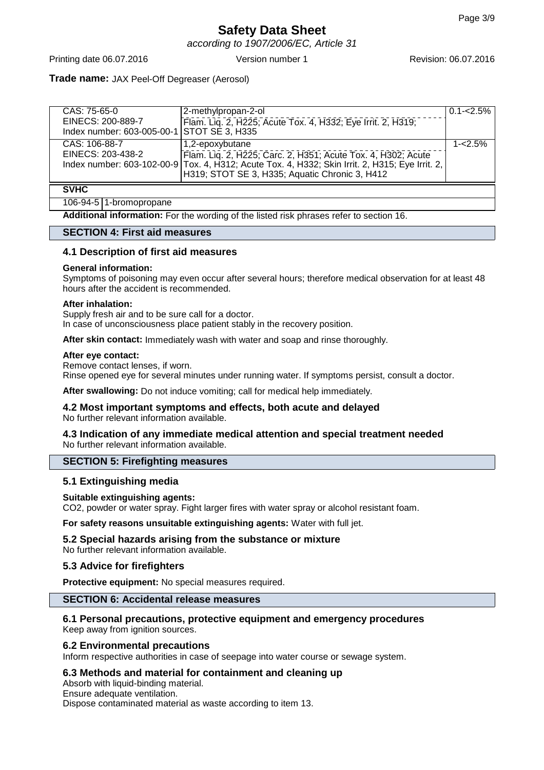## **Safety Data Sheet** according to 1907/2006/EC, Article 31

Printing date 06.07.2016 Version number 1 Revision: 06.07.2016

#### **Trade name:** JAX Peel-Off Degreaser (Aerosol)

| CAS: 75-65-0                               | 2-methylpropan-2-ol                                                                             | $0.1 - 2.5\%$ |
|--------------------------------------------|-------------------------------------------------------------------------------------------------|---------------|
| EINECS: 200-889-7                          | Flam. Liq. 2, H225; Acute Tox. 4, H332; Eye Irrit. 2, H319;                                     |               |
| Index number: 603-005-00-1 STOT SE 3, H335 |                                                                                                 |               |
| CAS: 106-88-7                              | 1,2-epoxybutane                                                                                 | $1 - 2.5%$    |
| EINECS: 203-438-2                          | Flam. Lig. 2, H225; Carc. 2, H351; Acute Tox. 4, H302; Acute                                    |               |
|                                            | Index number: 603-102-00-9 Tox. 4, H312; Acute Tox. 4, H332; Skin Irrit. 2, H315; Eye Irrit. 2, |               |
|                                            | H319; STOT SE 3, H335; Aquatic Chronic 3, H412                                                  |               |
| <b>SVHC</b>                                |                                                                                                 |               |

#### 106-94-5 1-bromopropane

**Additional information:** For the wording of the listed risk phrases refer to section 16.

#### **SECTION 4: First aid measures**

#### **4.1 Description of first aid measures**

#### **General information:**

Symptoms of poisoning may even occur after several hours; therefore medical observation for at least 48 hours after the accident is recommended.

#### **After inhalation:**

Supply fresh air and to be sure call for a doctor. In case of unconsciousness place patient stably in the recovery position.

**After skin contact:** Immediately wash with water and soap and rinse thoroughly.

#### **After eye contact:**

Remove contact lenses, if worn. Rinse opened eye for several minutes under running water. If symptoms persist, consult a doctor.

**After swallowing:** Do not induce vomiting; call for medical help immediately.

# **4.2 Most important symptoms and effects, both acute and delayed**

No further relevant information available.

#### **4.3 Indication of any immediate medical attention and special treatment needed** No further relevant information available.

#### **SECTION 5: Firefighting measures**

#### **5.1 Extinguishing media**

#### **Suitable extinguishing agents:**

CO2, powder or water spray. Fight larger fires with water spray or alcohol resistant foam.

**For safety reasons unsuitable extinguishing agents:** Water with full jet.

## **5.2 Special hazards arising from the substance or mixture**

No further relevant information available.

## **5.3 Advice for firefighters**

**Protective equipment:** No special measures required.

## **SECTION 6: Accidental release measures**

## **6.1 Personal precautions, protective equipment and emergency procedures**

Keep away from ignition sources.

## **6.2 Environmental precautions**

Inform respective authorities in case of seepage into water course or sewage system.

## **6.3 Methods and material for containment and cleaning up**

Absorb with liquid-binding material.

Ensure adequate ventilation. Dispose contaminated material as waste according to item 13.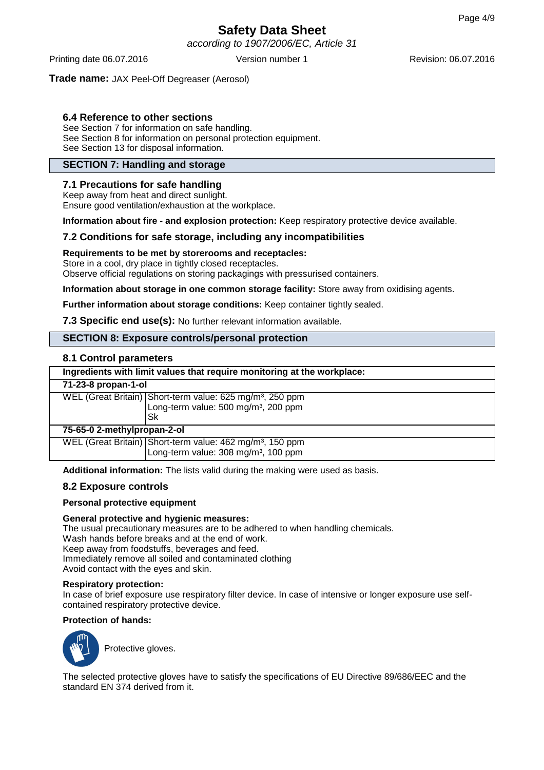according to 1907/2006/EC, Article 31

Printing date 06.07.2016 Version number 1 Revision: 06.07.2016

#### **Trade name:** JAX Peel-Off Degreaser (Aerosol)

## **6.4 Reference to other sections**

See Section 7 for information on safe handling. See Section 8 for information on personal protection equipment. See Section 13 for disposal information.

#### **SECTION 7: Handling and storage**

#### **7.1 Precautions for safe handling**

Keep away from heat and direct sunlight. Ensure good ventilation/exhaustion at the workplace.

**Information about fire - and explosion protection:** Keep respiratory protective device available.

#### **7.2 Conditions for safe storage, including any incompatibilities**

#### **Requirements to be met by storerooms and receptacles:**

Store in a cool, dry place in tightly closed receptacles.

Observe official regulations on storing packagings with pressurised containers.

**Information about storage in one common storage facility:** Store away from oxidising agents.

**Further information about storage conditions:** Keep container tightly sealed.

**7.3 Specific end use(s):** No further relevant information available.

#### **SECTION 8: Exposure controls/personal protection**

#### **8.1 Control parameters**

| Ingredients with limit values that require monitoring at the workplace: |                                                                       |  |
|-------------------------------------------------------------------------|-----------------------------------------------------------------------|--|
| 71-23-8 propan-1-ol                                                     |                                                                       |  |
|                                                                         | WEL (Great Britain) Short-term value: 625 mg/m <sup>3</sup> , 250 ppm |  |
|                                                                         | Long-term value: 500 mg/m <sup>3</sup> , 200 ppm                      |  |
|                                                                         | Sk                                                                    |  |
| 75-65-0 2-methylpropan-2-ol                                             |                                                                       |  |
|                                                                         | WEL (Great Britain) Short-term value: 462 mg/m <sup>3</sup> , 150 ppm |  |
|                                                                         | Long-term value: 308 mg/m <sup>3</sup> , 100 ppm                      |  |

**Additional information:** The lists valid during the making were used as basis.

#### **8.2 Exposure controls**

#### **Personal protective equipment**

#### **General protective and hygienic measures:**

The usual precautionary measures are to be adhered to when handling chemicals. Wash hands before breaks and at the end of work. Keep away from foodstuffs, beverages and feed. Immediately remove all soiled and contaminated clothing Avoid contact with the eyes and skin.

#### **Respiratory protection:**

In case of brief exposure use respiratory filter device. In case of intensive or longer exposure use selfcontained respiratory protective device.

#### **Protection of hands:**



Protective gloves.

The selected protective gloves have to satisfy the specifications of EU Directive 89/686/EEC and the standard EN 374 derived from it.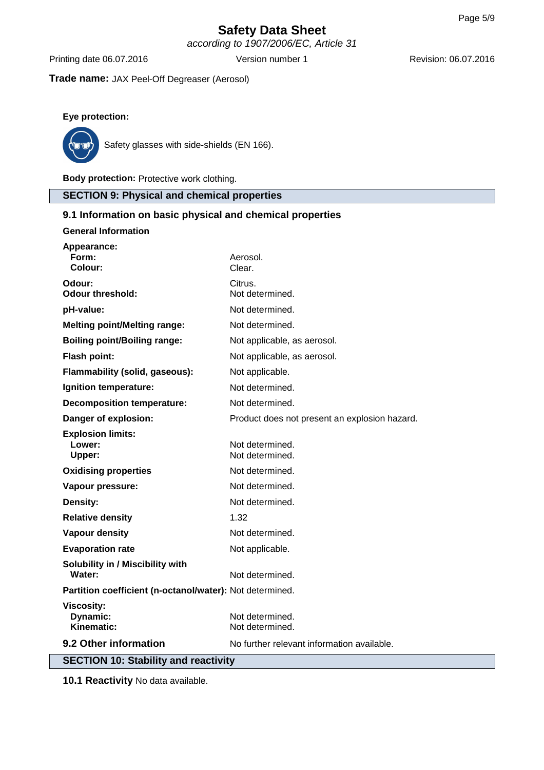according to 1907/2006/EC, Article 31

Printing date 06.07.2016 Version number 1 Revision: 06.07.2016

**Trade name:** JAX Peel-Off Degreaser (Aerosol)

## **Eye protection:**



Safety glasses with side-shields (EN 166).

**Body protection:** Protective work clothing.

## **SECTION 9: Physical and chemical properties**

## **9.1 Information on basic physical and chemical properties**

| <b>General Information</b>                               |                                               |
|----------------------------------------------------------|-----------------------------------------------|
| Appearance:<br>Form:<br>Colour:                          | Aerosol.<br>Clear.                            |
| Odour:<br><b>Odour threshold:</b>                        | Citrus.<br>Not determined.                    |
| pH-value:                                                | Not determined.                               |
| <b>Melting point/Melting range:</b>                      | Not determined.                               |
| <b>Boiling point/Boiling range:</b>                      | Not applicable, as aerosol.                   |
| <b>Flash point:</b>                                      | Not applicable, as aerosol.                   |
| Flammability (solid, gaseous):                           | Not applicable.                               |
| Ignition temperature:                                    | Not determined.                               |
| <b>Decomposition temperature:</b>                        | Not determined.                               |
| Danger of explosion:                                     | Product does not present an explosion hazard. |
| <b>Explosion limits:</b><br>Lower:<br>Upper:             | Not determined.<br>Not determined.            |
| <b>Oxidising properties</b>                              | Not determined.                               |
| Vapour pressure:                                         | Not determined.                               |
| Density:                                                 | Not determined.                               |
| <b>Relative density</b>                                  | 1.32                                          |
| <b>Vapour density</b>                                    | Not determined.                               |
| <b>Evaporation rate</b>                                  | Not applicable.                               |
| Solubility in / Miscibility with<br>Water:               | Not determined.                               |
| Partition coefficient (n-octanol/water): Not determined. |                                               |
| <b>Viscosity:</b><br>Dynamic:<br>Kinematic:              | Not determined.<br>Not determined.            |
| 9.2 Other information                                    | No further relevant information available.    |
| <b>SECTION 10: Stability and reactivity</b>              |                                               |

**10.1 Reactivity** No data available.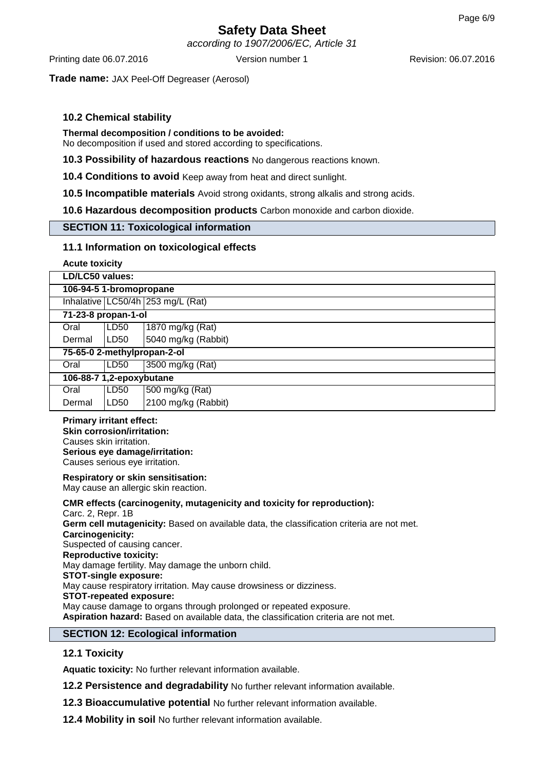according to 1907/2006/EC, Article 31

Printing date 06.07.2016 Version number 1 Revision: 06.07.2016

**Trade name:** JAX Peel-Off Degreaser (Aerosol)

## **10.2 Chemical stability**

#### **Thermal decomposition / conditions to be avoided:**

No decomposition if used and stored according to specifications.

**10.3 Possibility of hazardous reactions** No dangerous reactions known.

**10.4 Conditions to avoid** Keep away from heat and direct sunlight.

**10.5 Incompatible materials** Avoid strong oxidants, strong alkalis and strong acids.

**10.6 Hazardous decomposition products** Carbon monoxide and carbon dioxide.

#### **SECTION 11: Toxicological information**

#### **11.1 Information on toxicological effects**

**Acute toxicity**

| LD/LC50 values:          |                         |                                   |  |
|--------------------------|-------------------------|-----------------------------------|--|
|                          | 106-94-5 1-bromopropane |                                   |  |
|                          |                         | Inhalative LC50/4h 253 mg/L (Rat) |  |
| 71-23-8 propan-1-ol      |                         |                                   |  |
| Oral                     | LD50                    | 1870 mg/kg (Rat)                  |  |
| Dermal                   | LD <sub>50</sub>        | 5040 mg/kg (Rabbit)               |  |
|                          |                         | 75-65-0 2-methylpropan-2-ol       |  |
| Oral                     | LD <sub>50</sub>        | 3500 mg/kg (Rat)                  |  |
| 106-88-7 1,2-epoxybutane |                         |                                   |  |
| Oral                     | LD50                    | 500 mg/kg (Rat)                   |  |
| Dermal                   | LD50                    | 2100 mg/kg (Rabbit)               |  |

#### **Primary irritant effect: Skin corrosion/irritation:** Causes skin irritation. **Serious eye damage/irritation:** Causes serious eye irritation.

#### **Respiratory or skin sensitisation:**

May cause an allergic skin reaction.

#### **CMR effects (carcinogenity, mutagenicity and toxicity for reproduction):**

Carc. 2, Repr. 1B **Germ cell mutagenicity:** Based on available data, the classification criteria are not met. **Carcinogenicity:** Suspected of causing cancer. **Reproductive toxicity:** May damage fertility. May damage the unborn child. **STOT-single exposure:** May cause respiratory irritation. May cause drowsiness or dizziness. **STOT-repeated exposure:** May cause damage to organs through prolonged or repeated exposure. **Aspiration hazard:** Based on available data, the classification criteria are not met.

#### **SECTION 12: Ecological information**

#### **12.1 Toxicity**

**Aquatic toxicity:** No further relevant information available.

**12.2 Persistence and degradability** No further relevant information available.

- **12.3 Bioaccumulative potential** No further relevant information available.
- **12.4 Mobility in soil** No further relevant information available.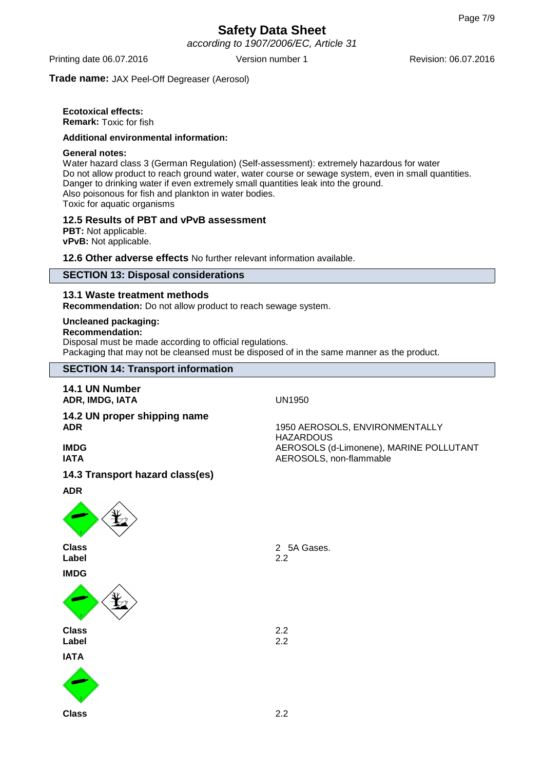according to 1907/2006/EC, Article 31

Printing date 06.07.2016 Version number 1 Revision: 06.07.2016

**Trade name:** JAX Peel-Off Degreaser (Aerosol)

## **Ecotoxical effects:**

**Remark:** Toxic for fish

#### **Additional environmental information:**

#### **General notes:**

Water hazard class 3 (German Regulation) (Self-assessment): extremely hazardous for water Do not allow product to reach ground water, water course or sewage system, even in small quantities. Danger to drinking water if even extremely small quantities leak into the ground. Also poisonous for fish and plankton in water bodies. Toxic for aquatic organisms

#### **12.5 Results of PBT and vPvB assessment**

**PBT:** Not applicable. **vPvB:** Not applicable.

**12.6 Other adverse effects** No further relevant information available.

#### **SECTION 13: Disposal considerations**

#### **13.1 Waste treatment methods**

**Recommendation:** Do not allow product to reach sewage system.

#### **Uncleaned packaging:**

#### **Recommendation:**

Disposal must be made according to official regulations. Packaging that may not be cleansed must be disposed of in the same manner as the product.

## **SECTION 14: Transport information**

## **14.1 UN Number**

**ADR, IMDG, IATA** UN1950

#### **14.2 UN proper shipping name ADR** 1950 AEROSOLS, ENVIRONMENTALLY

**IMDG** AEROSOLS (d-Limonene), MARINE POLLUTANT **IATA** AEROSOLS, non-flammable

#### **14.3 Transport hazard class(es)**

**ADR**



**Label** 2.2 **IMDG**



**Class** 2.2 **Label** 2.2 **IATA**



**Class** 2 5A Gases.

**HAZARDOUS**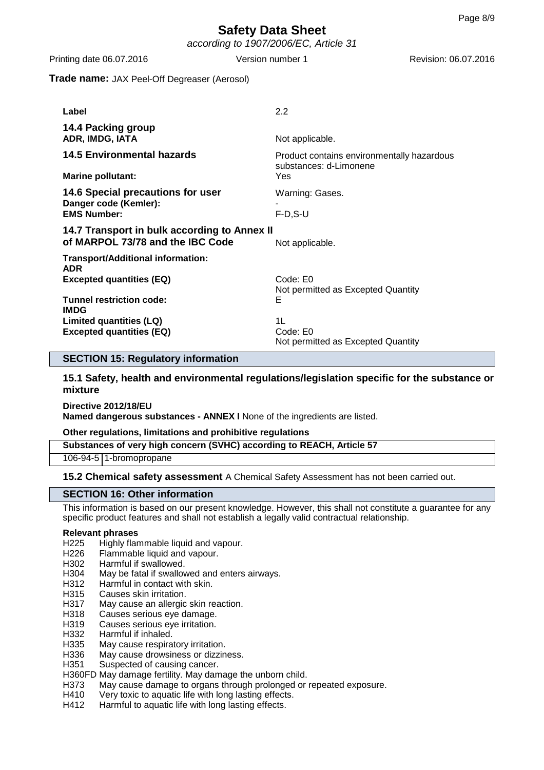Printing date 06.07.2016 Version number 1 Revision: 06.07.2016

#### **Trade name:** JAX Peel-Off Degreaser (Aerosol)

| Label                                                                            | 2.2                                                                  |
|----------------------------------------------------------------------------------|----------------------------------------------------------------------|
| 14.4 Packing group<br>ADR, IMDG, IATA                                            | Not applicable.                                                      |
| <b>14.5 Environmental hazards</b>                                                | Product contains environmentally hazardous<br>substances: d-Limonene |
| <b>Marine pollutant:</b>                                                         | Yes                                                                  |
| 14.6 Special precautions for user<br>Danger code (Kemler):                       | Warning: Gases.                                                      |
| <b>EMS Number:</b>                                                               | $F-D.S-U$                                                            |
| 14.7 Transport in bulk according to Annex II<br>of MARPOL 73/78 and the IBC Code | Not applicable.                                                      |
| Transport/Additional information:<br><b>ADR</b>                                  |                                                                      |
| <b>Excepted quantities (EQ)</b>                                                  | Code: E0<br>Not permitted as Excepted Quantity                       |
| Tunnel restriction code:<br><b>IMDG</b>                                          | Е                                                                    |
| Limited quantities (LQ)<br><b>Excepted quantities (EQ)</b>                       | 1L<br>Code: E0<br>Not permitted as Excepted Quantity                 |

#### **SECTION 15: Regulatory information**

**15.1 Safety, health and environmental regulations/legislation specific for the substance or mixture**

**Directive 2012/18/EU Named dangerous substances - ANNEX I** None of the ingredients are listed.

**Other regulations, limitations and prohibitive regulations**

**Substances of very high concern (SVHC) according to REACH, Article 57**

106-94-5 1-bromopropane

**15.2 Chemical safety assessment** A Chemical Safety Assessment has not been carried out.

#### **SECTION 16: Other information**

This information is based on our present knowledge. However, this shall not constitute a guarantee for any specific product features and shall not establish a legally valid contractual relationship.

#### **Relevant phrases**

- H225 Highly flammable liquid and vapour.
- H226 Flammable liquid and vapour.
- H302 Harmful if swallowed.
- H304 May be fatal if swallowed and enters airways.
- H312 Harmful in contact with skin.
- H315 Causes skin irritation.
- H317 May cause an allergic skin reaction.<br>H318 Causes serious eve damage.
- Causes serious eye damage.
- H319 Causes serious eye irritation.
- H<sub>332</sub> Harmful if inhaled.<br>H<sub>335</sub> May cause respira
- May cause respiratory irritation.
- H336 May cause drowsiness or dizziness.
- H351 Suspected of causing cancer.
- H360FD May damage fertility. May damage the unborn child.
- H373 May cause damage to organs through prolonged or repeated exposure.
- H410 Very toxic to aquatic life with long lasting effects.
- H412 Harmful to aquatic life with long lasting effects.